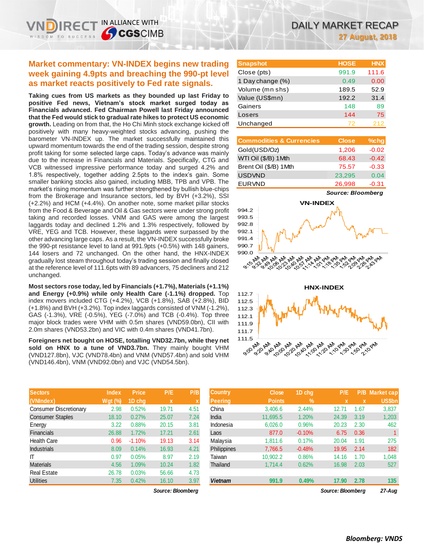# **Market commentary: VN-INDEX begins new trading week gaining 4.9pts and breaching the 990-pt level as market reacts positively to Fed rate signals.**

IN ALLIANCE WITH

**SCGSCIMB** 

**Taking cues from US markets as they bounded up last Friday to positive Fed news, Vietnam's stock market surged today as Financials advanced. Fed Chairman Powell last Friday announced that the Fed would stick to gradual rate hikes to protect US economic growth.** Leading on from that, the Ho Chi Minh stock exchange kicked off positively with many heavy-weighted stocks advancing, pushing the barometer VN-INDEX up. The market successfully maintained this upward momentum towards the end of the trading session, despite strong profit taking for some selected large caps. Today's advance was mainly due to the increase in Financials and Materials. Specifically, CTG and VCB witnessed impressive performance today and surged 4.2% and 1.8% respectively, together adding 2.5pts to the index's gain. Some smaller banking stocks also gained, including MBB, TPB and VPB. The market's rising momentum was further strengthened by bullish blue-chips from the Brokerage and Insurance sectors, led by BVH (+3.2%), SSI (+2.2%) and HCM (+4.4%). On another note, some market pillar stocks from the Food & Beverage and Oil & Gas sectors were under strong profit taking and recorded losses. VNM and GAS were among the largest laggards today and declined 1.2% and 1.3% respectively, followed by VRE, YEG and TCB. However, these laggards were surpassed by the other advancing large caps. As a result, the VN-INDEX successfully broke the 990-pt resistance level to land at 991.9pts (+0.5%) with 148 gainers, 144 losers and 72 unchanged. On the other hand, the HNX-INDEX gradually lost steam throughout today's trading session and finally closed at the reference level of 111.6pts with 89 advancers, 75 decliners and 212 unchanged.

**Most sectors rose today, led by Financials (+1.7%), Materials (+1.1%) and Energy (+0.9%) while only Health Care (-1.1%) dropped.** Top index movers included CTG (+4.2%), VCB (+1.8%), SAB (+2.8%), BID (+1.8%) and BVH (+3.2%). Top index laggards consisted of VNM (-1.2%), GAS (-1.3%), VRE (-0.5%), YEG (-7.0%) and TCB (-0.4%). Top three major block trades were VHM with 0.5m shares (VND59.0bn), CII with 2.0m shares (VND53.2bn) and VIC with 0.4m shares (VND41.7bn).

**Foreigners net bought on HOSE, totalling VND32.7bn, while they net**  sold on HNX to a tune of VND3.7bn. They mainly bought VHM (VND127.8bn), VJC (VND78.4bn) and VNM (VND57.4bn) and sold VHM (VND146.4bn), VNM (VND92.0bn) and VJC (VND54.5bn).

| <b>Sectors</b>                | <b>Index</b>   | <b>Price</b> | P/E   | P/B  |
|-------------------------------|----------------|--------------|-------|------|
| (VNIndex)                     | <b>Wgt (%)</b> | 1D chg       | x     | X    |
| <b>Consumer Discretionary</b> | 2.98           | 0.52%        | 19.71 | 4.51 |
| <b>Consumer Staples</b>       | 18.10          | 0.27%        | 25.07 | 7.24 |
| Energy                        | 3.22           | 0.88%        | 20.15 | 3.81 |
| <b>Financials</b>             | 26.88          | 1.72%        | 17.21 | 2.61 |
| <b>Health Care</b>            | 0.96           | $-1.10%$     | 19.13 | 3.14 |
| <b>Industrials</b>            | 8.09           | 0.14%        | 16.93 | 4.21 |
| ΙT                            | 0.97           | 0.05%        | 8.97  | 2.19 |
| <b>Materials</b>              | 4.56           | 1.09%        | 10.24 | 1.82 |
| <b>Real Estate</b>            | 26.78          | 0.03%        | 56.66 | 4.73 |
| <b>Utilities</b>              | 7.35           | 0.42%        | 16.10 | 3.97 |

*Source: Bloomberg Source: Bloomberg 27-Aug*

| <b>Snapshot</b>  | <b>HOSE</b> | <b>HNX</b> |
|------------------|-------------|------------|
| Close (pts)      | 991.9       | 111.6      |
| 1 Day change (%) | 0.49        | 0.00       |
| Volume (mn shs)  | 189.5       | 52.9       |
| Value (US\$mn)   | 192.2       | 31.4       |
| Gainers          | 148         | 89         |
| Losers           | 144         | 75         |
| Unchanged        | 72          | 212        |

| <b>Commodities &amp; Currencies</b> | <b>Close</b> | $%$ chg |
|-------------------------------------|--------------|---------|
| Gold(USD/Oz)                        | 1,206        | $-0.02$ |
| WTI Oil (\$/B) 1 Mth                | 68.43        | $-0.42$ |
| Brent Oil (\$/B) 1Mth               | 75.57        | $-0.33$ |
| <b>USDVND</b>                       | 23,295       | 0.04    |
| <b>EURVND</b>                       | 26.998       | $-0.31$ |

*Source: Bloomberg*





| <b>Sectors</b>                | <b>Index</b>   | <b>Price</b> | P/E               | P/B  | <b>Country</b>     | <b>Close</b>  | 1D chg   | P/E               | P/B         | <b>Market cap</b> |
|-------------------------------|----------------|--------------|-------------------|------|--------------------|---------------|----------|-------------------|-------------|-------------------|
| (VNIndex)                     | <b>Wgt</b> (%) | 1D chq       | X                 |      | <b>Peering</b>     | <b>Points</b> | $\%$     |                   | $\mathbf x$ | US\$bn            |
| <b>Consumer Discretionary</b> | 2.98           | $0.52\%$     | 19.71             | 4.51 | China              | 3,406.6       | 2.44%    | 12.71             | 1.67        | 3,837             |
| <b>Consumer Staples</b>       | 18.10          | 0.27%        | 25.07             | 7.24 | India              | 11,695.5      | 1.20%    | 24.39             | 3.19        | 1,203             |
| Energy                        | 3.22           | 0.88%        | 20.15             | 3.81 | Indonesia          | 6,026.0       | 0.96%    | 20.23             | 2.30        | 462               |
| Financials                    | 26.88          | 1.72%        | 17.21             | 2.61 | Laos               | 877.0         | $-0.10%$ | 6.75              | 0.36        |                   |
| Health Care                   | 0.96           | $-1.10%$     | 19.13             | 3.14 | Malaysia           | 1,811.6       | 0.17%    | 20.04             | 1.91        | 275               |
| <b>Industrials</b>            | 8.09           | 0.14%        | 16.93             | 4.21 | <b>Philippines</b> | 7,766.5       | $-0.48%$ | 19.95             | 2.14        | 182               |
| ΙT                            | 0.97           | 0.05%        | 8.97              | 2.19 | Taiwan             | 10,902.2      | 0.86%    | 14.16             | 1.70        | 1,048             |
| <b>Materials</b>              | 4.56           | 1.09%        | 10.24             | 1.82 | Thailand           | 1.714.4       | 0.62%    | 16.98             | 2.03        | 527               |
| Real Estate                   | 26.78          | 0.03%        | 56.66             | 4.73 |                    |               |          |                   |             |                   |
| <b>Utilities</b>              | 7.35           | 0.42%        | 16.10             | 3.97 | <b>Vietnam</b>     | 991.9         | 0.49%    | 17.90             | 2.78        | 135               |
|                               |                |              | Source: Bloombera |      |                    |               |          | Source: Bloombera |             | $27 - Aug$        |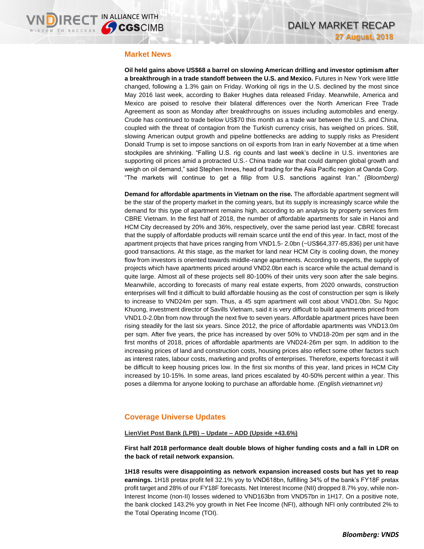### **Market News**

**Oil held gains above US\$68 a barrel on slowing American drilling and investor optimism after a breakthrough in a trade standoff between the U.S. and Mexico.** Futures in New York were little changed, following a 1.3% gain on Friday. Working oil rigs in the U.S. declined by the most since May 2016 last week, according to Baker Hughes data released Friday. Meanwhile, America and Mexico are poised to resolve their bilateral differences over the North American Free Trade Agreement as soon as Monday after breakthroughs on issues including automobiles and energy. Crude has continued to trade below US\$70 this month as a trade war between the U.S. and China, coupled with the threat of contagion from the Turkish currency crisis, has weighed on prices. Still, slowing American output growth and pipeline bottlenecks are adding to supply risks as President Donald Trump is set to impose sanctions on oil exports from Iran in early November at a time when stockpiles are shrinking. "Falling U.S. rig counts and last week's decline in U.S. inventories are supporting oil prices amid a protracted U.S.- China trade war that could dampen global growth and weigh on oil demand," said Stephen Innes, head of trading for the Asia Pacific region at Oanda Corp. "The markets will continue to get a fillip from U.S. sanctions against Iran." *(Bloomberg)*

**Demand for affordable apartments in Vietnam on the rise.** The affordable apartment segment will be the star of the property market in the coming years, but its supply is increasingly scarce while the demand for this type of apartment remains high, according to an analysis by property services firm CBRE Vietnam. In the first half of 2018, the number of affordable apartments for sale in Hanoi and HCM City decreased by 20% and 36%, respectively, over the same period last year. CBRE forecast that the supply of affordable products will remain scarce until the end of this year. In fact, most of the apartment projects that have prices ranging from VND1.5- 2.0bn (~US\$64,377-85,836) per unit have good transactions. At this stage, as the market for land near HCM City is cooling down, the money flow from investors is oriented towards middle-range apartments. According to experts, the supply of projects which have apartments priced around VND2.0bn each is scarce while the actual demand is quite large. Almost all of these projects sell 80-100% of their units very soon after the sale begins. Meanwhile, according to forecasts of many real estate experts, from 2020 onwards, construction enterprises will find it difficult to build affordable housing as the cost of construction per sqm is likely to increase to VND24m per sqm. Thus, a 45 sqm apartment will cost about VND1.0bn. Su Ngoc Khuong, investment director of Savills Vietnam, said it is very difficult to build apartments priced from VND1.0-2.0bn from now through the next five to seven years. Affordable apartment prices have been rising steadily for the last six years. Since 2012, the price of affordable apartments was VND13.0m per sqm. After five years, the price has increased by over 50% to VND18-20m per sqm and in the first months of 2018, prices of affordable apartments are VND24-26m per sqm. In addition to the increasing prices of land and construction costs, housing prices also reflect some other factors such as interest rates, labour costs, marketing and profits of enterprises. Therefore, experts forecast it will be difficult to keep housing prices low. In the first six months of this year, land prices in HCM City increased by 10-15%. In some areas, land prices escalated by 40-50% percent within a year. This poses a dilemma for anyone looking to purchase an affordable home. *(English.vietnamnet.vn)*

# **Coverage Universe Updates**

### **LienViet Post Bank (LPB) – Update – ADD (Upside +43.6%)**

**First half 2018 performance dealt double blows of higher funding costs and a fall in LDR on the back of retail network expansion.**

**1H18 results were disappointing as network expansion increased costs but has yet to reap earnings.** 1H18 pretax profit fell 32.1% yoy to VND618bn, fulfilling 34% of the bank's FY18F pretax profit target and 28% of our FY18F forecasts. Net Interest Income (NII) dropped 8.7% yoy, while non-Interest Income (non-II) losses widened to VND163bn from VND57bn in 1H17. On a positive note, the bank clocked 143.2% yoy growth in Net Fee Income (NFI), although NFI only contributed 2% to the Total Operating Income (TOI).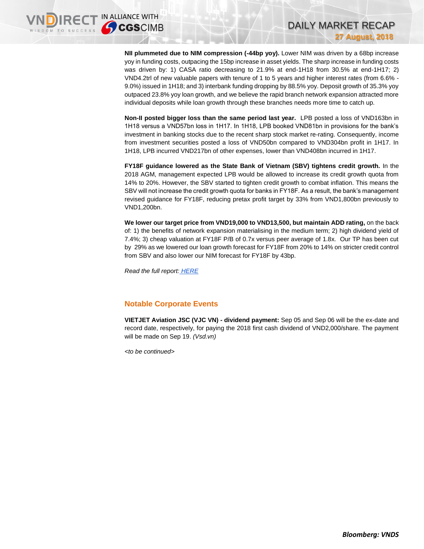**NII plummeted due to NIM compression (-44bp yoy).** Lower NIM was driven by a 68bp increase yoy in funding costs, outpacing the 15bp increase in asset yields. The sharp increase in funding costs was driven by: 1) CASA ratio decreasing to 21.9% at end-1H18 from 30.5% at end-1H17; 2) VND4.2trl of new valuable papers with tenure of 1 to 5 years and higher interest rates (from 6.6% - 9.0%) issued in 1H18; and 3) interbank funding dropping by 88.5% yoy. Deposit growth of 35.3% yoy outpaced 23.8% yoy loan growth, and we believe the rapid branch network expansion attracted more individual deposits while loan growth through these branches needs more time to catch up.

DAILY MARKET RECAP

**27 August, 2018**

**Non-II posted bigger loss than the same period last year.** LPB posted a loss of VND163bn in 1H18 versus a VND57bn loss in 1H17. In 1H18, LPB booked VND81bn in provisions for the bank's investment in banking stocks due to the recent sharp stock market re-rating. Consequently, income from investment securities posted a loss of VND50bn compared to VND304bn profit in 1H17. In 1H18, LPB incurred VND217bn of other expenses, lower than VND408bn incurred in 1H17.

**FY18F guidance lowered as the State Bank of Vietnam (SBV) tightens credit growth.** In the 2018 AGM, management expected LPB would be allowed to increase its credit growth quota from 14% to 20%. However, the SBV started to tighten credit growth to combat inflation. This means the SBV will not increase the credit growth quota for banks in FY18F. As a result, the bank's management revised guidance for FY18F, reducing pretax profit target by 33% from VND1,800bn previously to VND1,200bn.

**We lower our target price from VND19,000 to VND13,500, but maintain ADD rating,** on the back of: 1) the benefits of network expansion materialising in the medium term; 2) high dividend yield of 7.4%; 3) cheap valuation at FY18F P/B of 0.7x versus peer average of 1.8x. Our TP has been cut by 29% as we lowered our loan growth forecast for FY18F from 20% to 14% on stricter credit control from SBV and also lower our NIM forecast for FY18F by 43bp.

*Read the full report: [HERE](https://static-02.vndirect.com.vn/uploads/prod/LPB_Update_20180827_Add.pdf)*

# **Notable Corporate Events**

**VIETJET Aviation JSC (VJC VN) - dividend payment:** Sep 05 and Sep 06 will be the ex-date and record date, respectively, for paying the 2018 first cash dividend of VND2,000/share. The payment will be made on Sep 19. *(Vsd.vn)* 

*<to be continued>*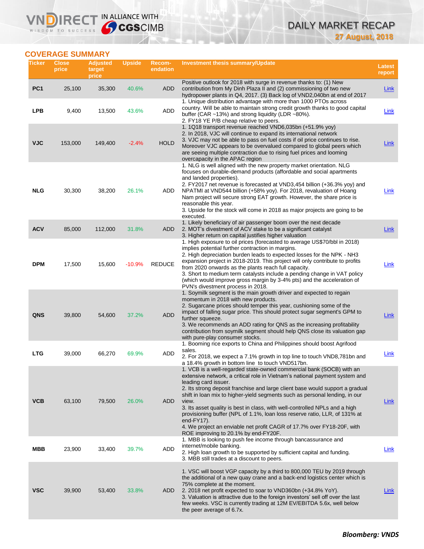# DAILY MARKET RECAP **27 August, 2018**

# **COVERAGE SUMMARY**

WISDOM TO SUCCESS

VND

IRECT IN ALLIANCE WITH

| Ticker          | <b>Close</b><br>price | <b>Adjusted</b><br>target<br>price | <b>Upside</b> | Recom-<br>endation | <b>Investment thesis summary/Update</b>                                                                                                                                                                                                                                                                                                                                                                                                                                                                                                                                                                                                               | <b>Latest</b><br>report |
|-----------------|-----------------------|------------------------------------|---------------|--------------------|-------------------------------------------------------------------------------------------------------------------------------------------------------------------------------------------------------------------------------------------------------------------------------------------------------------------------------------------------------------------------------------------------------------------------------------------------------------------------------------------------------------------------------------------------------------------------------------------------------------------------------------------------------|-------------------------|
| PC <sub>1</sub> | 25,100                | 35,300                             | 40.6%         | <b>ADD</b>         | Positive outlook for 2018 with surge in revenue thanks to: (1) New<br>contribution from My Dinh Plaza II and (2) commissioning of two new<br>hydropower plants in Q4, 2017. (3) Back log of VND2,040bn at end of 2017                                                                                                                                                                                                                                                                                                                                                                                                                                 | <b>Link</b>             |
| <b>LPB</b>      | 9,400                 | 13,500                             | 43.6%         | ADD                | 1. Unique distribution advantage with more than 1000 PTOs across<br>country. Will be able to maintain strong credit growth thanks to good capital<br>buffer (CAR ~13%) and strong liquidity (LDR ~80%).<br>2. FY18 YE P/B cheap relative to peers.                                                                                                                                                                                                                                                                                                                                                                                                    | Link                    |
| <b>VJC</b>      | 153,000               | 149,400                            | $-2.4%$       | <b>HOLD</b>        | 1. 1Q18 transport revenue reached VND6,035bn (+51.9% yoy)<br>2. In 2018, VJC will continue to expand its international network<br>3. VJC may not be able to pass on fuel costs if oil price continues to rise.<br>Moreover VJC appears to be overvalued compared to global peers which<br>are seeing multiple contraction due to rising fuel prices and looming<br>overcapacity in the APAC region                                                                                                                                                                                                                                                    | <b>Link</b>             |
| <b>NLG</b>      | 30,300                | 38,200                             | 26.1%         | ADD                | 1. NLG is well aligned with the new property market orientation. NLG<br>focuses on durable-demand products (affordable and social apartments<br>and landed properties).<br>2. FY2017 net revenue is forecasted at VND3,454 billion (+36.3% yoy) and<br>NPATMI at VND544 billion (+58% yoy). For 2018, revaluation of Hoang<br>Nam project will secure strong EAT growth. However, the share price is<br>reasonable this year.<br>3. Upside for the stock will come in 2018 as major projects are going to be<br>executed.                                                                                                                             | <b>Link</b>             |
| <b>ACV</b>      | 85,000                | 112,000                            | 31.8%         | <b>ADD</b>         | 1. Likely beneficiary of air passenger boom over the next decade<br>2. MOT's divestment of ACV stake to be a significant catalyst<br>3. Higher return on capital justifies higher valuation                                                                                                                                                                                                                                                                                                                                                                                                                                                           | <b>Link</b>             |
| <b>DPM</b>      | 17,500                | 15,600                             | $-10.9%$      | <b>REDUCE</b>      | 1. High exposure to oil prices (forecasted to average US\$70/bbl in 2018)<br>implies potential further contraction in margins.<br>2. High depreciation burden leads to expected losses for the NPK - NH3<br>expansion project in 2018-2019. This project will only contribute to profits<br>from 2020 onwards as the plants reach full capacity.<br>3. Short to medium term catalysts include a pending change in VAT policy<br>(which would improve gross margin by 3-4% pts) and the acceleration of<br>PVN's divestment process in 2018.                                                                                                           | <b>Link</b>             |
| QNS             | 39,800                | 54,600                             | 37.2%         | <b>ADD</b>         | 1. Soymilk segment is the main growth driver and expected to regain<br>momentum in 2018 with new products.<br>2. Sugarcane prices should temper this year, cushioning some of the<br>impact of falling sugar price. This should protect sugar segment's GPM to<br>further squeeze.<br>3. We recommends an ADD rating for QNS as the increasing profitability<br>contribution from soymilk segment should help QNS close its valuation gap<br>with pure-play consumer stocks.                                                                                                                                                                          | <b>Link</b>             |
| <b>LTG</b>      | 39,000                | 66,270                             | 69.9%         | ADD                | 1. Booming rice exports to China and Philippines should boost Agrifood<br>sales.<br>2. For 2018, we expect a 7.1% growth in top line to touch VND8,781bn and<br>a 18.4% growth in bottom line to touch VND517bn.                                                                                                                                                                                                                                                                                                                                                                                                                                      | Link                    |
| <b>VCB</b>      | 63,100                | 79,500                             | 26.0%         | <b>ADD</b>         | 1. VCB is a well-regarded state-owned commercial bank (SOCB) with an<br>extensive network, a critical role in Vietnam's national payment system and<br>leading card issuer.<br>2. Its strong deposit franchise and large client base would support a gradual<br>shift in loan mix to higher-yield segments such as personal lending, in our<br>view.<br>3. Its asset quality is best in class, with well-controlled NPLs and a high<br>provisioning buffer (NPL of 1.1%, loan loss reserve ratio, LLR, of 131% at<br>end- $FY17$ ).<br>4. We project an enviable net profit CAGR of 17.7% over FY18-20F, with<br>ROE improving to 20.1% by end-FY20F. | Link                    |
| MBB             | 23,900                | 33,400                             | 39.7%         | ADD                | 1. MBB is looking to push fee income through bancassurance and<br>internet/mobile banking.<br>2. High loan growth to be supported by sufficient capital and funding.<br>3. MBB still trades at a discount to peers.                                                                                                                                                                                                                                                                                                                                                                                                                                   | Link                    |
| <b>VSC</b>      | 39,900                | 53,400                             | 33.8%         | <b>ADD</b>         | 1. VSC will boost VGP capacity by a third to 800,000 TEU by 2019 through<br>the additional of a new quay crane and a back-end logistics center which is<br>75% complete at the moment.<br>2. 2018 net profit expected to soar to VND360bn (+34.8% YoY).<br>3. Valuation is attractive due to the foreign investors' sell off over the last<br>few weeks. VSC is currently trading at 12M EV/EBITDA 5.6x, well below<br>the peer average of 6.7x.                                                                                                                                                                                                      | Link                    |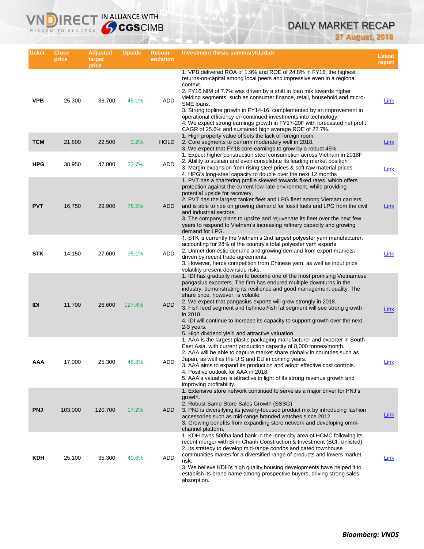# DAILY MARKET RECAP **27 August, 2018**

| <b>Ticker</b> | <b>Close</b><br>price | <b>Adjusted</b><br>target<br>price | <b>Upside</b> | Recom-<br>endation | Investment thesis summary/Update                                                                                                                                                                                                                                                                                                                                                                                                                                                                                                                                                                                  | Latest<br>report |
|---------------|-----------------------|------------------------------------|---------------|--------------------|-------------------------------------------------------------------------------------------------------------------------------------------------------------------------------------------------------------------------------------------------------------------------------------------------------------------------------------------------------------------------------------------------------------------------------------------------------------------------------------------------------------------------------------------------------------------------------------------------------------------|------------------|
| <b>VPB</b>    | 25,300                | 36,700                             | 45.1%         | ADD                | 1. VPB delivered ROA of 1.9% and ROE of 24.8% in FY16, the highest<br>returns-on-capital among local peers and impressive even in a regional<br>context.<br>2. FY16 NIM of 7.7% was driven by a shift in loan mix towards higher<br>vielding segments, such as consumer finance, retail, household and micro-<br>SME loans.<br>3. Strong topline growth in FY14-16, complemented by an improvement in<br>operational efficiency on continued investments into technology.<br>4. We expect strong earnings growth in FY17-20F with forecasted net profit<br>CAGR of 25.6% and sustained high average ROE of 22.7%. | Link             |
| <b>TCM</b>    | 21,800                | 22,500                             | 3.2%          | <b>HOLD</b>        | 1. High property value offsets the lack of foreign room.<br>2. Core segments to perform moderately well in 2018.<br>3. We expect that FY18 core-earnings to grow by a robust 45%.                                                                                                                                                                                                                                                                                                                                                                                                                                 | Link             |
| <b>HPG</b>    | 38,950                | 47,800                             | 22.7%         | <b>ADD</b>         | 1. Expect higher construction steel consumption across Vietnam in 2018F<br>2. Ability to sustain and even consolidate its leading market position<br>3. Margin expansion from rising steel prices & soft raw material prices<br>4. HPG's long-steel capacity to double over the next 12 months                                                                                                                                                                                                                                                                                                                    | Link             |
| <b>PVT</b>    | 16,750                | 29,900                             | 78.5%         | <b>ADD</b>         | 1. PVT has a chartering profile skewed towards fixed rates, which offers<br>protection against the current low-rate environment, while providing<br>potential upside for recovery.<br>2. PVT has the largest tanker fleet and LPG fleet among Vietnam carriers,<br>and is able to ride on growing demand for fossil fuels and LPG from the civil<br>and industrial sectors.<br>3. The company plans to upsize and rejuvenate its fleet over the next few<br>years to respond to Vietnam's increasing refinery capacity and growing<br>demand for LPG.                                                             | Link             |
| <b>STK</b>    | 14,150                | 27,600                             | 95.1%         | ADD                | 1. STK is currently the Vietnam's 2nd largest polyester yarn manufacturer,<br>accounting for 28% of the country's total polyester yarn exports.<br>2. Unmet domestic demand and growing demand from export markets,<br>driven by recent trade agreements.<br>3. However, fierce competition from Chinese yarn, as well as input price<br>volatility present downside risks.                                                                                                                                                                                                                                       | Link             |
| IDI           | 11,700                | 26,600                             | 127.4%        | <b>ADD</b>         | 1. IDI has gradually risen to become one of the most promising Vietnamese<br>pangasius exporters. The firm has endured multiple downturns in the<br>industry, demonstrating its resilience and good management quality. The<br>share price, however, is volatile.<br>2. We expect that pangasius exports will grow strongly in 2018.<br>3. Fish feed segment and fishmeal/fish fat segment will see strong growth<br>in 2018<br>4. IDI will continue to increase its capacity to support growth over the next<br>2-3 years.<br>5. High dividend yield and attractive valuation                                    | Link             |
| AAA           | 17,000                | 25,300                             | 48.8%         | <b>ADD</b>         | 1. AAA is the largest plastic packaging manufacturer and exporter in South<br>East Asia, with current production capacity of 8,000 tonnes/month.<br>2. AAA will be able to capture market share globally in countries such as<br>Japan, as well as the U.S and EU in coming years.<br>3. AAA aims to expand its production and adopt effective cost controls.<br>4. Positive outlook for AAA in 2018.<br>5. AAA's valuation is attractive in light of its strong revenue growth and<br>improving profitability.                                                                                                   | Link             |
| <b>PNJ</b>    | 103,000               | 120,700                            | 17.2%         | <b>ADD</b>         | 1. Extensive store network continued to serve as a major driver for PNJ's<br>growth.<br>2. Robust Same-Store Sales Growth (SSSG)<br>3. PNJ is diversifying its jewelry-focused product mix by introducing fashion<br>accessories such as mid-range branded watches since 2012.<br>3. Growing benefits from expanding store network and developing omni-<br>channel platform.                                                                                                                                                                                                                                      | Link             |
| <b>KDH</b>    | 25,100                | 35,300                             | 40.6%         | <b>ADD</b>         | 1. KDH owns 500ha land bank in the inner city area of HCMC following its<br>recent merger with Binh Chanh Construction & Investment (BCI, Unlisted).<br>2. Its strategy to develop mid-range condos and gated townhouse<br>communities makes for a diversified range of products and lowers market<br>risk.<br>3. We believe KDH's high quality housing developments have helped it to<br>establish its brand name among prospective buyers, driving strong sales<br>absorption.                                                                                                                                  | Link             |

IRECT IN ALLIANCE WITH

VND

WISDOM TO SUCCESS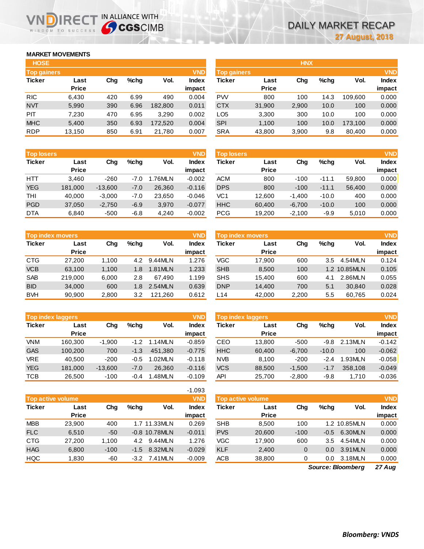### **MARKET MOVEMENTS**

WISDOM TO SUCCESS

ח

| <b>HOSE</b>        |              |     |         |         |              |
|--------------------|--------------|-----|---------|---------|--------------|
| <b>Top gainers</b> |              |     |         |         | <b>VND</b>   |
| <b>Ticker</b>      | Last         | Cha | $%$ chq | Vol.    | <b>Index</b> |
|                    | <b>Price</b> |     |         |         | impact       |
| <b>RIC</b>         | 6,430        | 420 | 6.99    | 490     | 0.004        |
| <b>NVT</b>         | 5,990        | 390 | 6.96    | 182,800 | 0.011        |
| PIT                | 7,230        | 470 | 6.95    | 3,290   | 0.002        |
| <b>MHC</b>         | 5,400        | 350 | 6.93    | 172,520 | 0.004        |
| <b>RDP</b>         | 13,150       | 850 | 6.91    | 21,780  | 0.007        |

**IRECT IN ALLIANCE WITH** 

| <b>HOSE</b>        |              |     |         |         |              |                    |              | <b>HNX</b> |      |         |              |
|--------------------|--------------|-----|---------|---------|--------------|--------------------|--------------|------------|------|---------|--------------|
| <b>Top gainers</b> |              |     |         |         | <b>VND</b>   | <b>Top gainers</b> |              |            |      |         | <b>VND</b>   |
| Ticker             | Last         | Chg | $%$ chq | Vol.    | <b>Index</b> | Ticker             | Last         | Chg        | %chq | Vol.    | <b>Index</b> |
|                    | <b>Price</b> |     |         |         | impact       |                    | <b>Price</b> |            |      |         | impact       |
| <b>RIC</b>         | 6,430        | 420 | 6.99    | 490     | 0.004        | <b>PW</b>          | 800          | 100        | 14.3 | 109.600 | 0.000        |
| NVT                | 5,990        | 390 | 6.96    | 182.800 | 0.011        | <b>CTX</b>         | 31,900       | 2,900      | 10.0 | 100     | 0.000        |
| <b>PIT</b>         | 7,230        | 470 | 6.95    | 3,290   | 0.002        | LO <sub>5</sub>    | 3,300        | 300        | 10.0 | 100     | 0.000        |
| <b>MHC</b>         | 5,400        | 350 | 6.93    | 172.520 | 0.004        | <b>SPI</b>         | 1,100        | 100        | 10.0 | 173.100 | 0.000        |
| <b>RDP</b>         | 13,150       | 850 | 6.91    | 21,780  | 0.007        | <b>SRA</b>         | 43,800       | 3,900      | 9.8  | 80,400  | 0.000        |

| <b>Top losers</b> |              |           |         |         | <b>VND</b>   |
|-------------------|--------------|-----------|---------|---------|--------------|
| <b>Ticker</b>     | Last         | Cha       | $%$ chq | Vol.    | <b>Index</b> |
|                   | <b>Price</b> |           |         |         | impact       |
| HTT               | 3,460        | $-260$    | $-7.0$  | 1.76MLN | $-0.002$     |
| <b>YEG</b>        | 181,000      | $-13,600$ | $-7.0$  | 26,360  | $-0.116$     |
| <b>THI</b>        | 40,000       | $-3,000$  | $-7.0$  | 23,650  | $-0.046$     |
| <b>PGD</b>        | 37,050       | $-2,750$  | $-6.9$  | 3,970   | $-0.077$     |
| <b>DTA</b>        | 6.840        | $-500$    | $-6.8$  | 4.240   | $-0.002$     |

| <b>Top index movers</b> |         |       |         |         |        |  |  |  |
|-------------------------|---------|-------|---------|---------|--------|--|--|--|
| <b>Ticker</b>           | Last    | Cha   | $%$ chq | Vol.    | Index  |  |  |  |
|                         | Price   |       |         |         | impact |  |  |  |
| <b>CTG</b>              | 27,200  | 1,100 | 4.2     | 9.44MLN | 1.276  |  |  |  |
| <b>VCB</b>              | 63,100  | 1,100 | 1.8     | 1.81MLN | 1.233  |  |  |  |
| <b>SAB</b>              | 219,000 | 6,000 | 2.8     | 67.490  | 1.199  |  |  |  |
| <b>BID</b>              | 34,000  | 600   | 1.8     | 2.54MLN | 0.639  |  |  |  |
| <b>BVH</b>              | 90,900  | 2,800 | 3.2     | 121,260 | 0.612  |  |  |  |

| <b>Top index laggers</b> |              |           |        |         |              |  |  |  |
|--------------------------|--------------|-----------|--------|---------|--------------|--|--|--|
| <b>Ticker</b>            | Last         | Cha       | %chq   | Vol.    | <b>Index</b> |  |  |  |
|                          | <b>Price</b> |           |        |         | impact       |  |  |  |
| <b>VNM</b>               | 160,300      | $-1,900$  | $-1.2$ | 1.14MLN | $-0.859$     |  |  |  |
| <b>GAS</b>               | 100,200      | 700       | $-1.3$ | 451.380 | $-0.775$     |  |  |  |
| <b>VRE</b>               | 40,500       | $-200$    | $-0.5$ | 1.02MLN | $-0.118$     |  |  |  |
| <b>YEG</b>               | 181,000      | $-13,600$ | $-7.0$ | 26.360  | $-0.116$     |  |  |  |
| тсв                      | 26,500       | $-100$    | $-0.4$ | 1.48MLN | $-0.109$     |  |  |  |

|                                        |              |        |         |                 | $-1.093$     |  |  |  |
|----------------------------------------|--------------|--------|---------|-----------------|--------------|--|--|--|
| <b>VND</b><br><b>Top active volume</b> |              |        |         |                 |              |  |  |  |
| <b>Ticker</b>                          | Last         | Cha    | $%$ chq | Vol.            | <b>Index</b> |  |  |  |
|                                        | <b>Price</b> |        |         |                 | impact       |  |  |  |
| <b>MBB</b>                             | 23,900       | 400    |         | 1.7 11.33MLN    | 0.269        |  |  |  |
| <b>FLC</b>                             | 6,510        | -50    |         | $-0.8$ 10.78MLN | $-0.011$     |  |  |  |
| <b>CTG</b>                             | 27,200       | 1,100  | 4.2     | 9.44MLN         | 1.276        |  |  |  |
| <b>HAG</b>                             | 6,800        | $-100$ | $-1.5$  | 8.32MLN         | $-0.029$     |  |  |  |
| <b>HQC</b>                             | 1,830        | -60    |         | $-3.2$ 7.41 MLN | $-0.009$     |  |  |  |

| <b>Top losers</b> |              |           |         |        | <b>VND</b> | <b>Top losers</b> |              |          |         |        | <b>VND</b>   |
|-------------------|--------------|-----------|---------|--------|------------|-------------------|--------------|----------|---------|--------|--------------|
| Ticker            | Last         | Chg       | $%$ chq | Vol.   | Index      | Ticker            | Last         | Chg      | $%$ chq | Vol.   | <b>Index</b> |
|                   | <b>Price</b> |           |         |        | impact     |                   | <b>Price</b> |          |         |        | impact       |
| HTT               | 3.460        | $-260$    | $-7.0$  | .76MLN | $-0.002$   | <b>ACM</b>        | 800          | $-100$   | $-11.1$ | 59,800 | 0.000        |
| <b>YEG</b>        | 181,000      | $-13,600$ | $-7.0$  | 26.360 | $-0.116$   | <b>DPS</b>        | 800          | $-100$   | $-11.1$ | 56.400 | 0.000        |
| THI               | 40.000       | $-3.000$  | $-7.0$  | 23.650 | $-0.046$   | VC1               | 12.600       | $-1.400$ | $-10.0$ | 400    | 0.000        |
| <b>PGD</b>        | 37,050       | $-2,750$  | $-6.9$  | 3,970  | $-0.077$   | <b>HHC</b>        | 60,400       | $-6,700$ | $-10.0$ | 100    | 0.000        |
| <b>DTA</b>        | 6,840        | $-500$    | $-6.8$  | 4.240  | $-0.002$   | <b>PCG</b>        | 19.200       | $-2.100$ | $-9.9$  | 5,010  | 0.000        |

|            | <b>Top index movers</b> |       |         |         | <b>VND</b> | Top index movers |              |       |         |              | <b>VND</b>   |
|------------|-------------------------|-------|---------|---------|------------|------------------|--------------|-------|---------|--------------|--------------|
| Ticker     | Last                    | Cha   | $%$ chq | Vol.    | Index      | Ticker           | Last         | Chg   | $%$ chq | Vol.         | <b>Index</b> |
|            | <b>Price</b>            |       |         |         | impact     |                  | <b>Price</b> |       |         |              | impact       |
| CTG        | 27,200                  | 1.100 | 4.2     | 9.44MLN | 1.276      | VGC              | 17.900       | 600   | 3.5     | 4.54MLN      | 0.124        |
| <b>VCB</b> | 63.100                  | 1,100 | 1.8     | 1.81MLN | 1.233      | <b>SHB</b>       | 8,500        | 100   |         | 1.2 10.85MLN | 0.105        |
| <b>SAB</b> | 219,000                 | 6.000 | 2.8     | 67.490  | 1.199      | <b>SHS</b>       | 15.400       | 600   | 4.1     | 2.86MLN      | 0.055        |
| <b>BID</b> | 34,000                  | 600   | 1.8     | 2.54MLN | 0.639      | <b>DNP</b>       | 14,400       | 700   | 5.1     | 30.840       | 0.028        |
| <b>BVH</b> | 90.900                  | 2,800 | 3.2     | 121.260 | 0.612      | L <sub>14</sub>  | 42,000       | 2,200 | 5.5     | 60.765       | 0.024        |

|            | <b>Top index laggers</b> |           |         |         | <b>VND</b> | <b>Top index laggers</b> |              |          |         |         | <b>VND</b>   |
|------------|--------------------------|-----------|---------|---------|------------|--------------------------|--------------|----------|---------|---------|--------------|
| Ticker     | Last                     | Cha       | $%$ chq | Vol.    | Index      | Ticker                   | Last         | Chg      | $%$ chq | Vol.    | <b>Index</b> |
|            | <b>Price</b>             |           |         |         | impact     |                          | <b>Price</b> |          |         |         | impact       |
| VNM.       | 160.300                  | $-1,900$  | $-1.2$  | 1.14MLN | $-0.859$   | CEO                      | 13.800       | $-500$   | $-9.8$  | 2.13MLN | $-0.142$     |
| <b>GAS</b> | 100.200                  | 700       | $-1.3$  | 451.380 | $-0.775$   | <b>HHC</b>               | 60.400       | $-6,700$ | $-10.0$ | 100     | $-0.062$     |
| <b>VRE</b> | 40.500                   | $-200$    | $-0.5$  | 1.02MLN | $-0.118$   | <b>NVB</b>               | 8.100        | $-200$   | $-2.4$  | 1.93MLN | $-0.058$     |
| <b>YEG</b> | 181.000                  | $-13,600$ | $-7.0$  | 26.360  | $-0.116$   | <b>VCS</b>               | 88,500       | $-1.500$ | $-1.7$  | 358,108 | $-0.049$     |
| тсв        | 26.500                   | $-100$    | $-0.4$  | .48MLN  | $-0.109$   | API                      | 25.700       | $-2.800$ | $-9.8$  | 1.710   | $-0.036$     |

| <b>Top active volume</b> |                      |        |         |                 | <b>VND</b>             | Top active volume |                      |        |         |              | <b>VND</b>             |
|--------------------------|----------------------|--------|---------|-----------------|------------------------|-------------------|----------------------|--------|---------|--------------|------------------------|
| Ticker                   | Last<br><b>Price</b> | Chg    | $%$ chq | Vol.            | <b>Index</b><br>impact | Ticker            | Last<br><b>Price</b> | Chg    | $%$ chq | Vol.         | <b>Index</b><br>impact |
| MBB                      | 23.900               | 400    |         | 1.7 11.33MLN    | 0.269                  | <b>SHB</b>        | 8.500                | 100    |         | 1.2 10.85MLN | 0.000                  |
| <b>FLC</b>               | 6.510                | $-50$  |         | $-0.8$ 10.78MLN | $-0.011$               | <b>PVS</b>        | 20,600               | $-100$ | $-0.5$  | 6.30MLN      | 0.000                  |
| CTG                      | 27,200               | 1.100  | 4.2     | 9.44MLN         | 1.276                  | VGC               | 17.900               | 600    | 3.5     | 4.54MLN      | 0.000                  |
| <b>HAG</b>               | 6,800                | $-100$ | $-1.5$  | 8.32MLN         | $-0.029$               | <b>KLF</b>        | 2.400                | 0      | 0.0     | 3.91MLN      | 0.000                  |
| <b>HQC</b>               | .830                 | -60    | $-3.2$  | 7.41 MLN        | $-0.009$               | ACB               | 38,800               | 0      | 0.0     | 3.18MLN      | 0.000                  |

*27 Aug Source: Bloomberg*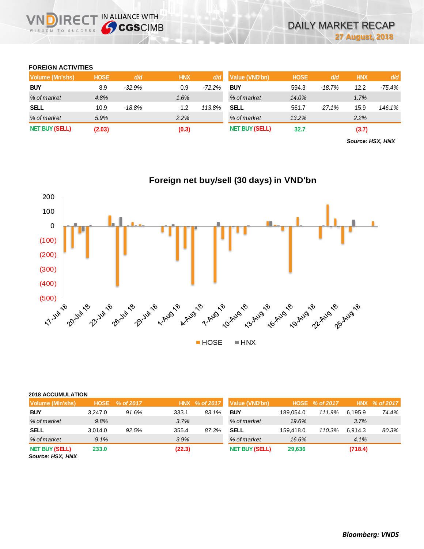### **FOREIGN ACTIVITIES**

WISDOM TO SUCCESS

VIN

**IRECT IN ALLIANCE WITH** 

| <b>Volume (Mn'shs)</b> | <b>HOSE</b> | d/d       | <b>HNX</b> | d/d      | Value (VND'bn)        | <b>HOSE</b> | d/d       | <b>HNX</b> | d/d    |
|------------------------|-------------|-----------|------------|----------|-----------------------|-------------|-----------|------------|--------|
| <b>BUY</b>             | 8.9         | $-32.9%$  | 0.9        | $-72.2%$ | <b>BUY</b>            | 594.3       | $-18.7\%$ | 12.2       | -75.4% |
| % of market            | 4.8%        |           | 1.6%       |          | % of market           | 14.0%       |           | 1.7%       |        |
| <b>SELL</b>            | 10.9        | $-18.8\%$ | 1.2        | 113.8%   | <b>SELL</b>           | 561.7       | $-27.1%$  | 15.9       | 146.1% |
| % of market            | 5.9%        |           | 2.2%       |          | % of market           | 13.2%       |           | 2.2%       |        |
| <b>NET BUY (SELL)</b>  | (2.03)      |           | (0.3)      |          | <b>NET BUY (SELL)</b> | 32.7        |           | (3.7)      |        |

*Source: HSX, HNX*



# **Foreign net buy/sell (30 days) in VND'bn**

| <b>2018 ACCUMULATION</b> |  |
|--------------------------|--|
|                          |  |

| ZVIU AUUUINULATIUN                       |             |           |        |               |                       |           |                |         |               |
|------------------------------------------|-------------|-----------|--------|---------------|-----------------------|-----------|----------------|---------|---------------|
| <b>Volume (MIn'shs)</b>                  | <b>HOSE</b> | % of 2017 |        | HNX % of 2017 | Value (VND'bn)        |           | HOSE % of 2017 |         | HNX % of 2017 |
| <b>BUY</b>                               | 3.247.0     | 91.6%     | 333.1  | 83.1%         | <b>BUY</b>            | 189.054.0 | 111.9%         | 6.195.9 | 74.4%         |
| % of market                              | 9.8%        |           | 3.7%   |               | % of market           | 19.6%     |                | 3.7%    |               |
| <b>SELL</b>                              | 3.014.0     | 92.5%     | 355.4  | 87.3%         | <b>SELL</b>           | 159.418.0 | 110.3%         | 6.914.3 | 80.3%         |
| % of market                              | 9.1%        |           | 3.9%   |               | % of market           | 16.6%     |                | 4.1%    |               |
| <b>NET BUY (SELL)</b><br>SOUTOO' HOY HNY | 233.0       |           | (22.3) |               | <b>NET BUY (SELL)</b> | 29,636    |                | (718.4) |               |

*Source: HSX, HNX*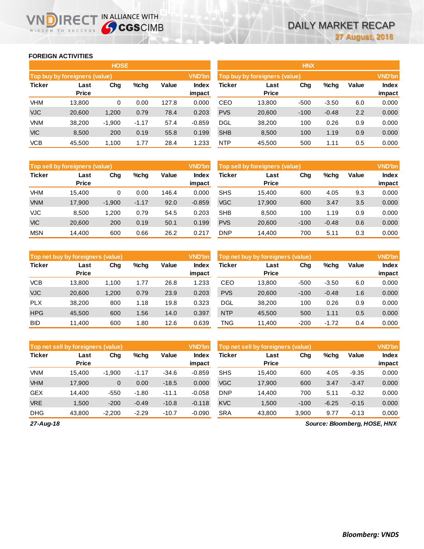### **FOREIGN ACTIVITIES**

WISDOM TO SUCCESS

הו

IRECT IN ALLIANCE WITH

|               |                                      | <b>HOSE</b> |         |       |                 |               |                                      | <b>HNX</b> |         |       |                        |
|---------------|--------------------------------------|-------------|---------|-------|-----------------|---------------|--------------------------------------|------------|---------|-------|------------------------|
|               | <b>Top buy by foreigners (value)</b> |             |         |       | <b>VND'bn</b>   |               | <b>Top buy by foreigners (value)</b> |            |         |       | <b>VND'bn</b>          |
| <b>Ticker</b> | Last<br><b>Price</b>                 | Chg         | %chg    | Value | Index<br>impact | <b>Ticker</b> | Last<br><b>Price</b>                 | Chg        | %chg    | Value | <b>Index</b><br>impact |
| <b>VHM</b>    | 13.800                               | 0           | 0.00    | 127.8 | 0.000           | CEO           | 13,800                               | $-500$     | $-3.50$ | 6.0   | 0.000                  |
| <b>VJC</b>    | 20,600                               | 1,200       | 0.79    | 78.4  | 0.203           | <b>PVS</b>    | 20,600                               | $-100$     | $-0.48$ | 2.2   | 0.000                  |
| <b>VNM</b>    | 38,200                               | $-1,900$    | $-1.17$ | 57.4  | $-0.859$        | <b>DGL</b>    | 38,200                               | 100        | 0.26    | 0.9   | 0.000                  |
| <b>VIC</b>    | 8,500                                | 200         | 0.19    | 55.8  | 0.199           | <b>SHB</b>    | 8,500                                | 100        | 1.19    | 0.9   | 0.000                  |
| <b>VCB</b>    | 45,500                               | 1,100       | 1.77    | 28.4  | 1.233           | <b>NTP</b>    | 45,500                               | 500        | 1.11    | 0.5   | 0.000                  |

| Top sell by foreigners (value) |                      |          |         |       | <b>VND'bn</b>   |            | Top sell by foreigners (value) |        |         |       | <b>VND'bn</b>   |
|--------------------------------|----------------------|----------|---------|-------|-----------------|------------|--------------------------------|--------|---------|-------|-----------------|
| <b>Ticker</b>                  | Last<br><b>Price</b> | Chg      | $%$ chg | Value | Index<br>impact | Ticker     | Last<br><b>Price</b>           | Chg    | %chg    | Value | Index<br>impact |
|                                |                      |          |         |       |                 |            |                                |        |         |       |                 |
| <b>VHM</b>                     | 15.400               | 0        | 0.00    | 146.4 | 0.000           | <b>SHS</b> | 15.400                         | 600    | 4.05    | 9.3   | 0.000           |
| <b>VNM</b>                     | 17,900               | $-1,900$ | $-1.17$ | 92.0  | $-0.859$        | <b>VGC</b> | 17,900                         | 600    | 3.47    | 3.5   | 0.000           |
| <b>VJC</b>                     | 8.500                | 1.200    | 0.79    | 54.5  | 0.203           | <b>SHB</b> | 8.500                          | 100    | 1.19    | 0.9   | 0.000           |
| <b>VIC</b>                     | 20,600               | 200      | 0.19    | 50.1  | 0.199           | <b>PVS</b> | 20,600                         | $-100$ | $-0.48$ | 0.6   | 0.000           |
| <b>MSN</b>                     | 14.400               | 600      | 0.66    | 26.2  | 0.217           | <b>DNP</b> | 14.400                         | 700    | 5.11    | 0.3   | 0.000           |

|               | Top net buy by foreigners (value) |       |         |       | <b>VND'bn</b>   |            | Top net buy by foreigners (value) |        |         |       | <b>VND'bn</b>   |
|---------------|-----------------------------------|-------|---------|-------|-----------------|------------|-----------------------------------|--------|---------|-------|-----------------|
| <b>Ticker</b> | Last<br><b>Price</b>              | Chg   | $%$ chg | Value | Index<br>impact | Ticker     | Last<br><b>Price</b>              | Chg    | $%$ chg | Value | Index<br>impact |
| <b>VCB</b>    | 13.800                            | 1.100 | 1.77    | 26.8  | 1.233           | CEO        | 13.800                            | $-500$ | $-3.50$ | 6.0   | 0.000           |
| <b>VJC</b>    | 20,600                            | 1.200 | 0.79    | 23.9  | 0.203           | <b>PVS</b> | 20,600                            | $-100$ | $-0.48$ | 1.6   | 0.000           |
| <b>PLX</b>    | 38.200                            | 800   | 1.18    | 19.8  | 0.323           | DGL        | 38.200                            | 100    | 0.26    | 0.9   | 0.000           |
| <b>HPG</b>    | 45.500                            | 600   | 1.56    | 14.0  | 0.397           | <b>NTP</b> | 45.500                            | 500    | 1.11    | 0.5   | 0.000           |
| <b>BID</b>    | 11.400                            | 600   | 1.80    | 12.6  | 0.639           | TNG        | 11.400                            | $-200$ | $-1.72$ | 0.4   | 0.000           |

| Top net sell by foreigners (value) |                      |          |         |         | <b>VND'bn</b>   |            | Top net sell by foreigners (value) |        |         |         | <b>VND'bn</b>   |
|------------------------------------|----------------------|----------|---------|---------|-----------------|------------|------------------------------------|--------|---------|---------|-----------------|
| <b>Ticker</b>                      | Last<br><b>Price</b> | Chg      | $%$ chg | Value   | Index<br>impact | Ticker     | Last<br><b>Price</b>               | Chg    | %chg    | Value   | Index<br>impact |
| <b>VNM</b>                         | 15.400               | $-1,900$ | $-1.17$ | $-34.6$ | $-0.859$        | <b>SHS</b> | 15.400                             | 600    | 4.05    | $-9.35$ | 0.000           |
| <b>VHM</b>                         | 17.900               | 0        | 0.00    | $-18.5$ | 0.000           | <b>VGC</b> | 17,900                             | 600    | 3.47    | $-3.47$ | 0.000           |
| <b>GEX</b>                         | 14.400               | $-550$   | $-1.80$ | $-11.1$ | $-0.058$        | <b>DNP</b> | 14.400                             | 700    | 5.11    | $-0.32$ | 0.000           |
| <b>VRE</b>                         | 1,500                | $-200$   | $-0.49$ | $-10.8$ | $-0.118$        | <b>KVC</b> | 1,500                              | $-100$ | $-6.25$ | $-0.15$ | 0.000           |
| <b>DHG</b>                         | 43,800               | $-2,200$ | $-2.29$ | $-10.7$ | $-0.090$        | <b>SRA</b> | 43,800                             | 3,900  | 9.77    | $-0.13$ | 0.000           |

*27-Aug-18*

*Source: Bloomberg, HOSE, HNX*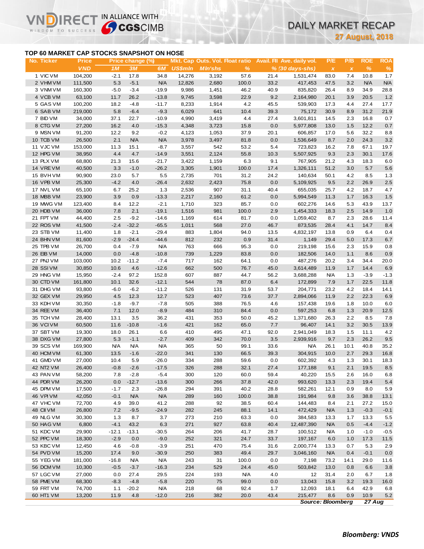## **TOP 60 MARKET CAP STOCKS SNAPSHOT ON HOSE**

Vľ

ה

IRECT IN ALLIANCE WITH

**27 August, 2018**

|                                           |                            |            |                        |                   |                |                                                   |              |            |                                                 |                                  | <b>27 August, 2018</b> |                             |                             |
|-------------------------------------------|----------------------------|------------|------------------------|-------------------|----------------|---------------------------------------------------|--------------|------------|-------------------------------------------------|----------------------------------|------------------------|-----------------------------|-----------------------------|
| TOP 60 MARKET CAP STOCKS SNAPSHOT ON HOSE |                            |            |                        |                   |                |                                                   |              |            |                                                 |                                  |                        |                             |                             |
| No. Ticker                                | <b>Price</b><br><b>VND</b> | 1M         | Price change (%)<br>3M | 6M                | <b>US\$mln</b> | Mkt. Cap Outs. Vol. Float ratio<br><b>MIn'shs</b> | %            |            | Avail. Fil Ave. daily vol.<br>$% (30 days-shs)$ | P/E<br>$\boldsymbol{\mathsf{x}}$ | P/B<br>$\pmb{\chi}$    | <b>ROE</b><br>$\frac{9}{6}$ | <b>ROA</b><br>$\frac{9}{6}$ |
| 1 VIC VM                                  | 104,200                    | $-2.1$     | 17.8                   | 34.8              | 14,276         | 3,192                                             | 57.6         | 21.4       | 1,531,474                                       | 83.0                             | 7.4                    | 10.8                        | 1.7                         |
| 2 VHM VM                                  | 111,500                    | 5.3        | $-5.1$                 | <b>N/A</b>        | 12,826         | 2,680                                             | 100.0        | 33.2       | 417,453                                         | 47.5                             | 3.2                    | <b>N/A</b>                  | <b>N/A</b>                  |
| 3 VNM VM                                  | 160,300                    | $-5.0$     | $-3.4$                 | $-19.9$           | 9,986          | 1,451                                             | 46.2         | 40.9       | 835,820                                         | 26.4                             | 8.9                    | 34.9                        | 28.8                        |
| 4 VCB VM                                  | 63,100                     | 11.7       | 26.2                   | $-13.8$           | 9,745          | 3,598                                             | 22.9         | 9.2        | 2,164,980                                       | 20.1                             | 3.9                    | 20.5                        | 1.2                         |
| 5 GAS VM                                  | 100,200                    | 18.2       | $-4.8$                 | $-11.7$           | 8,233          | 1,914                                             | 4.2          | 45.5       | 539,903                                         | 17.3                             | 4.4                    | 27.4                        | 17.7                        |
| 6 SAB VM                                  | 219,000                    | 5.8        | $-6.4$                 | $-9.3$            | 6,029          | 641                                               | 10.4         | 39.3       | 75,172                                          | 30.9                             | 8.9                    | 31.2                        | 21.9                        |
| 7 BID VM                                  | 34,000                     | 37.1       | 22.7                   | $-10.9$           | 4,990          | 3,419                                             | 4.4          | 27.4       | 3,601,811                                       | 14.5                             | 2.3                    | 16.8                        | 0.7                         |
| 8 CTG VM                                  | 27,200                     | 16.2       | 4.0                    | $-15.3$           | 4,348          | 3,723                                             | 15.8         | 0.0        | 5,977,808                                       | 13.0                             | 1.5                    | 12.2                        | 0.7                         |
| 9 MSN VM                                  | 91,200                     | 12.2       | 9.2                    | $-0.2$            | 4,123          | 1,053                                             | 37.9         | 20.1       | 606,857                                         | 17.0                             | 5.6                    | 32.2                        | 8.8                         |
| 10 TCB VM                                 | 26,500                     | 2.1        | <b>N/A</b>             | <b>N/A</b>        | 3,978          | 3,497                                             | 81.8         | 0.0        | 1,536,649                                       | 8.7                              | 2.0                    | 24.3                        | 3.2                         |
| 11 VJC VM                                 | 153,000                    | 11.3       | 15.1                   | $-8.7$            | 3,557          | 542                                               | 53.2         | 5.4        | 723,823                                         | 16.2                             | 7.8                    | 67.1                        | 19.7                        |
| 12 HPG VM                                 | 38,950                     | 4.4        | 4.7                    | $-14.9$           | 3,551          | 2,124                                             | 55.8         | 10.3       | 5,507,925                                       | 9.3                              | 2.3                    | 30.1                        | 17.6                        |
| 13 PLX VM                                 | 68,800                     | 21.3       | 15.6                   | $-21.7$           | 3,422          | 1,159                                             | 6.3          | 9.1        | 767,905                                         | 21.2                             | 4.3                    | 18.3                        | 6.0                         |
| 14 VREVM                                  | 40,500                     | 3.3        | $-1.0$                 | $-26.2$           | 3,305          | 1,901                                             | 100.0        | 17.4       | 1,326,111                                       | 51.2                             | 3.0                    | 5.7                         | 5.6                         |
| 15 BVHVM                                  | 90,900                     | 23.0       | 5.7                    | 5.5               | 2,735          | 701                                               | 31.2         | 24.2       | 140,634                                         | 50.1                             | 4.2                    | 8.5                         | 1.3                         |
| 16 VPB VM                                 | 25,300                     | $-4.2$     | 4.0                    | $-26.4$           | 2,632          | 2,423                                             | 75.8         | 0.0        | 5,109,925                                       | 9.5                              | 2.2                    | 26.9                        | 2.5                         |
| 17 NVL VM                                 | 65,100                     | 6.7        | 25.2                   | 1.3               | 2,536          | 907                                               | 31.1         | 40.4       | 655,035                                         | 25.7                             | 4.2                    | 18.7                        | 4.7                         |
| 18 MBB VM                                 | 23,900                     | 3.9        | 0.9                    | $-13.3$           | 2,217          | 2,160                                             | 61.2         | 0.0        | 5,994,549                                       | 11.3                             | 1.7                    | 16.3                        | 1.5                         |
| 19 MWG VM                                 | 123,400                    | 8.4        | 12.2                   | $-2.1$            | 1,710          | 323                                               | 85.7         | 0.0        | 602,276                                         | 14.6                             | 5.3                    | 43.9                        | 13.7                        |
| 20 HDB VM                                 | 36,000                     | 7.8        | 2.1                    | $-19.1$           | 1,516          | 981                                               | 100.0        | 2.9        | 1,454,333                                       | 18.3                             | 2.5                    | 14.9                        | 1.0                         |
| 21 FPT VM                                 | 44,400                     | 2.5        | $-9.2$                 | $-14.6$           | 1,169          | 614                                               | 81.7         | 0.0        | 1,059,402                                       | 8.7                              | 2.3                    | 28.6                        | 11.4                        |
| 22 ROS VM                                 | 41,500                     | $-2.4$     | $-32.2$                | $-65.5$           | 1,011          | 568                                               | 27.0         | 46.7       | 873,535                                         | 28.4                             | 4.1                    | 14.7                        | 8.4                         |
| 23 STB VM                                 | 11,400                     | 1.8        | $-2.1$                 | $-29.4$           | 883            | 1,804                                             | 94.0         | 13.5       | 4,832,197                                       | 13.8                             | 0.9                    | 6.4                         | 0.4                         |
| 24 BHN VM                                 | 81,600                     | $-2.9$     | $-24.4$                | $-44.6$           | 812            | 232                                               | 0.9          | 31.4       | 1,149                                           | 29.4                             | 5.0                    | 17.3                        | 6.7                         |
| 25 TPB VM<br>26 EIB VM                    | 26,700                     | 0.4<br>0.0 | $-7.9$<br>$-4.8$       | <b>N/A</b>        | 763            | 666                                               | 95.3         | 0.0        | 219,198                                         | 15.6                             | 2.3<br>1.1             | 15.9<br>8.6                 | 0.8                         |
| 27 PNJ VM                                 | 14,000                     | 10.2       | $-11.2$                | $-10.8$<br>$-7.4$ | 739<br>717     | 1,229<br>162                                      | 83.8<br>64.1 | 0.0<br>0.0 | 182,506<br>487,276                              | 14.0<br>20.2                     | 3.4                    | 34.4                        | 0.9<br>20.0                 |
| 28 SSIVM                                  | 103,000<br>30,850          | 10.6       | 4.6                    | $-12.6$           | 662            | 500                                               | 76.7         | 45.0       | 3,614,489                                       | 11.9                             | 1.7                    | 14.4                        | 6.9                         |
| 29 HNG VM                                 | 15,950                     | $-2.4$     | 97.2                   | 152.8             | 607            | 887                                               | 44.7         | 56.2       | 3,688,288                                       | <b>N/A</b>                       | 1.3                    | $-3.9$                      | $-1.3$                      |
| 30 CTD VM                                 | 161,800                    | 10.1       | 32.6                   | $-12.1$           | 544            | 78                                                | 87.0         | 6.4        | 172,899                                         | 7.9                              | 1.7                    | 22.5                        | 11.8                        |
| 31 DHG VM                                 | 93,800                     | $-6.0$     | $-6.2$                 | $-11.2$           | 526            | 131                                               | 31.9         | 53.7       | 204,771                                         | 23.2                             | 4.2                    | 18.4                        | 14.1                        |
| 32 GEX VM                                 | 29,950                     | 4.5        | 12.3                   | 12.7              | 523            | 407                                               | 73.6         | 37.7       | 2,894,066                                       | 11.9                             | 2.2                    | 22.3                        | 6.9                         |
| 33 KDH VM                                 | 30,350                     | $-1.8$     | $-9.7$                 | $-7.8$            | 505            | 388                                               | 76.5         | 4.6        | 157,438                                         | 19.6                             | 1.8                    | 10.0                        | 6.0                         |
| 34 REE VM                                 | 36,400                     | 7.1        | 12.0                   | $-8.9$            | 484            | 310                                               | 84.4         | 0.0        | 597,253                                         | 6.8                              | 1.3                    | 20.9                        | 12.5                        |
| 35 TCH VM                                 | 28,400                     | 13.1       | 3.5                    | 36.2              | 431            | 353                                               | 50.0         | 45.2       | 1,371,680                                       | 26.3                             | 2.2                    | 8.5                         | 7.8                         |
| 36 VCIVM                                  | 60,500                     | 11.6       | $-10.8$                | $-1.6$            | 421            | 162                                               | 65.0         | 7.7        | 96,407                                          | 14.1                             | 3.2                    | 30.5                        | 13.9                        |
| 37 SBT VM                                 | 19,300                     | 18.0       | 26.1                   | 6.6               | 410            | 495                                               | 47.1         | 92.0       | 2,941,049                                       | 18.3                             | 1.5                    | 11.1                        | 4.2                         |
| 38 DXG VM                                 | 27,800                     | 5.3        | $-1.1$                 | $-2.7$            | 409            | 342                                               | 70.0         | 3.5        | 2,939,916                                       | 9.7                              | 2.3                    | 26.2                        | 9.5                         |
| 39 SCS VM                                 | 169,900                    | ΝA         | <b>N/A</b>             | ΝA                | 365            | 50                                                | 99.1         | 33.6       | N/A                                             | 26.1                             | 10.1                   | 40.8                        | 35.2                        |
| 40 HCM VM                                 | 61,300                     | 13.5       | $-1.6$                 | $-22.0$           | 341            | 130                                               | 66.5         | 39.3       | 304,915                                         | 10.0                             | 2.7                    | 29.3                        | 16.8                        |
| 41 GMD VM                                 | 27,000                     | 10.4       | 5.9                    | $-26.0$           | 334            | 288                                               | 59.6         | 0.0        | 602,392                                         | 4.3                              | 1.3                    | 30.1                        | 18.3                        |
| 42 NT2 VM                                 | 26,400                     | $-0.8$     | $-2.6$                 | $-17.5$           | 326            | 288                                               | 32.1         | 27.4       | 177,188                                         | 9.1                              | 2.1                    | 19.5                        | 8.5                         |
| 43 PAN VM                                 | 58,200                     | 7.8        | $-2.8$                 | $-5.4$            | 300            | 120                                               | 60.0         | 59.4       | 40,220                                          | 15.5                             | 2.6                    | 16.0                        | 6.8                         |
| 44 PDR VM                                 | 26,200                     | 0.0        | $-12.7$                | $-13.6$           | 300            | 266                                               | 37.8         | 42.0       | 993,620                                         | 13.3                             | 2.3                    | 19.4                        | 5.4                         |
| 45 DPM VM                                 | 17,500                     | $-1.7$     | 2.3                    | $-26.8$           | 294            | 391                                               | 40.2         | 28.8       | 582,261                                         | 12.1                             | 0.9                    | 8.0                         | $5.9\,$                     |
| 46 VPIVM                                  | 42,050                     | $-0.1$     | <b>N/A</b>             | <b>N/A</b>        | 289            | 160                                               | 100.0        | 38.8       | 191,984                                         | 9.8                              | 3.6                    | 38.8                        | 13.1                        |
| 47 VHC VM                                 | 72,700                     | 4.9        | 39.0                   | 41.2              | 288            | 92                                                | 38.5         | 60.4       | 144,483                                         | 8.4                              | 2.1                    | 27.2                        | 15.0                        |
| 48 CII VM                                 | 26,800                     | 7.2        | $-9.5$                 | $-24.9$           | 282            | 245                                               | 88.1         | 14.1       | 472,429                                         | <b>N/A</b>                       | 1.3                    | $-0.3$                      | $-0.1$                      |
| 49 NLG VM                                 | 30,300                     | 1.3        | 8.7                    | 3.7               | 273            | 210                                               | 63.3         | 0.0        | 384,583                                         | 13.3                             | 1.7                    | 13.3                        | 5.5                         |
| 50 HAG VM                                 | 6,800                      | $-4.1$     | 43.2                   | 6.3               | 271            | 927                                               | 63.8         | 40.4       | 12,487,390                                      | <b>N/A</b>                       | 0.5                    | $-4.4$                      | $-1.2$                      |
| 51 KDC VM                                 | 29,900                     | $-12.1$    | $-13.1$                | $-30.5$           | 264            | 206                                               | 41.7         | 28.7       | 100,512                                         | <b>N/A</b>                       | 1.0                    | $-1.0$                      | $-0.5$                      |
| 52 PPC VM                                 | 18,300                     | $-2.9$     | 0.0                    | $-9.0$            | 252            | 321                                               | 24.7         | 33.7       | 197,167                                         | 6.0                              | 1.0                    | 17.3                        | 11.5                        |
| 53 KBC VM                                 | 12,450                     | 4.6        | $-0.8$                 | $-3.9$            | 251            | 470                                               | 75.4         | 31.6       | 2,000,774                                       | 13.3                             | 0.7                    | 5.3                         | 2.9                         |
| 54 PVD VM                                 | 15,200                     | 17.4       | 9.0                    | $-30.9$           | 250            | 383                                               | 49.4         | 29.7       | 3,046,160                                       | <b>N/A</b>                       | 0.4                    | $-0.1$                      | 0.0                         |
| 55 YEG VM                                 | 181,000                    | $-16.8$    | N/A                    | <b>N/A</b>        | 243            | 31                                                | 100.0        | 0.0        | 7,198                                           | 73.2                             | 14.1                   | 29.0                        | 11.6                        |
| 56 DCM VM                                 | 10,300                     | $-0.5$     | $-3.7$                 | $-16.3$           | 234            | 529                                               | 24.4         | 45.0       | 503,842                                         | 13.0                             | 0.8                    | 6.6                         | 3.8                         |
| 57 LGC VM                                 | 27,000                     | 0.0        | 27.4                   | 29.5              | 224            | 193                                               | <b>N/A</b>   | 4.0        | 12                                              | 31.4                             | 2.0                    | 6.7                         | 1.8                         |
| 58 PME VM                                 | 68,300                     | $-8.3$     | $-4.8$                 | $-5.8$            | 220            | 75                                                | 99.0         | 0.0        | 13,043                                          | 15.8                             | 3.2                    | 19.3                        | 16.0                        |
| 59 FRT VM                                 | 74,700                     | 1.1        | $-20.2$                | <b>N/A</b>        | 218            | 68                                                | 92.4         | 1.7        | 12,093                                          | 18.1                             | 6.4                    | 42.9                        | 6.8                         |
| 60 HT1 VM                                 | 13,200                     | 11.9       | 4.8                    | $-12.0$           | 216            | 382                                               | 20.0         | 43.4       | 215,477                                         | 8.6                              | 0.9                    | 10.9                        | 5.2                         |